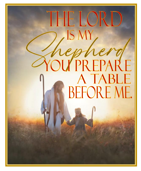# THE I O . IS MY **OUTREPARE** A TABLE BEFORE ME.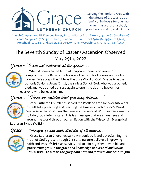

Serving the Portland Area with the Means of Grace and as a family of believers for over 110 years… as a church, school, preschool, mission, and ministry.

**Church Campus:** 7610 NE Fremont Street, Pastor – Pastor Thad Bitter (503 .290.6316– call /text) **School Campus:** 2252 SE 92nd Street, Principal - Justin Eternick (920.988.1999 – call /text) **Preschool:** 2252 SE 92nd Street, ECE Director Tammy Godish (503.312.4230 – call /text)

# The Seventh Sunday of Easter / Ascension Observed May 29th, 2022

# *Grace* ~ *"I am not ashamed of the gospel..."*



 When it comes to the truth of Scripture, there is no room for compromise. The Bible is the book we live by… for life now and for life forever. We accept the Bible as the pure Word of God. We believe that our only Savior is Jesus Christ, the sinless Son of God, who was crucified, died, and was buried but rose again to open the door to heaven for everyone who believes in him.

# *Grace* ~ *"These are written that you may believe..."*



 Grace Lutheran Church has served the Portland area for over 100 years by faithfully preaching and teaching the timeless truth of God's Word. We believe that God uses the timeless message of Word and Sacraments to bring souls into his care. This is a message that we share here and around the world through our affiliation with the Wisconsin Evangelical

Lutheran Synod (WELS).

## *Grace* ~ *"Therefore go and make disciples of all nations…"*



 Grace Lutheran Church exists to win souls by joyfully proclaiming the truth of God's grace through Christ, to nurture believers in growing in faith and lives of Christian service, and to join together in worship and praise. *"But grow in the grace and knowledge of our Lord and Savior Jesus Christ. To him be the glory both now and forever! Amen." 2 Pt. 3:18*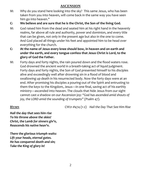#### **ASCENSION**

- M: Why do you stand here looking into the sky? This same Jesus, who has been taken from you into heaven, will come back in the same way you have seen him go into heaven."
- **C: We believe and are sure that he is the Christ, the Son of the living God.**
- M: God raised him from the dead and seated him at his right hand in the heavenly realms, far above all rule and authority, power and dominion, and every title that can be given, not only in the present age but also in the one to come. And God placed all things under his feet and appointed him to be head over everything for the church.
- **C: At the name of Jesus every knee should bow, in heaven and on earth and under the earth, and every tongue confess that Jesus Christ is Lord, to the glory of God the Father.**
- M: Forty days and forty nights, the rain poured down and the flood waters rose. God drowned the ancient world in a breath-taking act of liquid judgment. Forty days and forty nights, the Son of God presented himself to his disciples alive and exceedingly well after drowning sin in a flood of blood and swallowing up death in his resurrected body. Now the forty days were at an end. After promising his disciples a pouring-out of the Spirit and entrusting to them the keys to the Kingdom, Jesus—in one final, saving act of his earthly ministry—ascended into heaven. The clouds that hide Jesus from our sight cannot cast a shadow on our Ascension joy: *"God has ascended amid shouts of joy, the LORD amid the sounding of trumpets"* (Psalm 47).

**HYMN** CW21 #474 (1-2) *Hail the Day That See Him Rise*

*Hail the day that sees him rise To his throne above the skies! Christ, the Lamb for sinners giv'n, Reascends his native heav'n.* 

*There the glorious triumph waits: Lift your heads, eternal gates. He has conquered death and sin; Take the King of glory in!*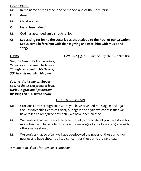#### **INVOCATION**

- M: In the name of the Father and of the Son and of the Holy Spirit.
- **C: Amen.**
- M: Christ is arisen!
- **C: He is risen indeed!**
- M: God has ascended amid shouts of joy!
- **C: Let us sing for joy to the LORD; let us shout aloud to the Rock of our salvation. Let us come before him with thanksgiving and extol him with music and song.**

**HYMN** CW21 #474 (3-4) *Hail the Day That See Him Rise*

*See, the heav'n its Lord receives, Yet he loves the earth he leaves; Though returning to his throne, Still he calls mankind his own.* 

*See, he lifts his hands above; See, he shows the prints of love. Hark! His gracious lips bestow Blessings on his Church below.*

## **CONFESSION OF SIN**

- M: Gracious Lord, through your Word you have revealed to us again and again the unsearchable riches of Christ, but again and again we confess that we have failed to recognize how richly we have been blessed.
- M: We confess that we have often failed to fully appreciate all you have done for us in Christ, and have failed to share the message of your love and grace with others as we should.
- M: We confess that so often we have overlooked the needs of those who live near us and have shown so little concern for those who are far away.

*A moment of silence for personal confession*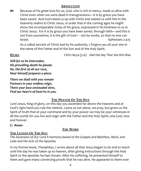#### **ABSOLUTION**

**M:** Because of his great love for us, God, who is rich in mercy, made us alive with Christ even when we were dead in transgressions—it is by grace you have been saved. And God raised us up with Christ and seated us with him in the heavenly realms in Christ Jesus, in order that in the coming ages he might show the incomparable riches of his grace, expressed in his kindness to us in Christ Jesus. For it is by grace you have been saved, through faith—and this is not from yourselves, it is the gift of God— not by works, so that no one can boast. **-**Ephesians 2:4-9

As a called servant of Christ and by his authority, I forgive you all your sins in the name of the Father and of the Son and of the Holy Spirit.

**HYMN** CW21 #474 (5-6) *Hail the Day That See Him Rise*

*Still for us he intercedes; His prevailing death he pleads. He, the first of all our race, Near himself prepares a place.* 

*There we shall with you remain Partners in your endless reign, There your face unclouded view, Find our heav'n of heav'ns in you.*

## **THE PRAYER OF THE DAY**

Lord Jesus, King of glory, on this day you ascended far above the heavens and at God's right hand you rule the nations. Leave us not alone, we pray, but grant us the Spirit of truth that at your command and by your power we may be your witnesses in all the world; for you live and reign with the Father and the Holy Spirit, one God, now and forever.

## **C: Amen**

## **THE WORD**

## **THE LESSON OF THE DAY**

*The Ascension of Our Lord A harmony based of the Gospels and Matthew, Mark, and Luke and the Acts of the Apostles* 

In my former book, Theophilus, I wrote about all that Jesus began to do and to teach until the day he was taken up to heaven, after giving instructions through the Holy Spirit to the apostles he had chosen. After his suffering, he presented himself to them and gave many convincing proofs that he was alive. He appeared to them over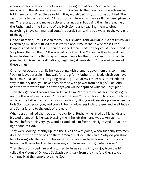a period of forty days and spoke about the kingdom of God. Soon after the resurrection, the eleven disciples went to Galilee, to the mountain where Jesus had told them to go. When they saw him, they worshiped him; but some doubted. Then Jesus came to them and said, "All authority in heaven and on earth has been given to me. Therefore, go and make disciples of all nations, baptizing them in the name of the Father and of the Son and of the Holy Spirit, and teaching them to obey everything I have commanded you. And surely I am with you always, to the very end of the age."

On one occasion, Jesus said to them, "This is what I told you while I was still with you: Everything must be fulfilled that is written about me in the Law of Moses, the Prophets and the Psalms." Then he opened their minds so they could understand the Scriptures. He told them, "This is what is written: The Messiah will suffer and rise from the dead on the third day, and repentance for the forgiveness of sins will be preached in his name to all nations, beginning at Jerusalem. You are witnesses of these things.

On another occasion, while he was eating with them, he gave them this command: "Do not leave Jerusalem, but wait for the gift my Father promised, which you have heard me speak about. I am going to send you what my Father has promised; but stay in the city until you have been clothed with power from on high." For John baptized with water, but in a few days you will be baptized with the Holy Spirit."

Then they gathered around him and asked him, "Lord, are you at this time going to restore the kingdom to Israel?" He said to them: "It is not for you to know the times or dates the Father has set by his own authority. But you will receive power when the Holy Spirit comes on you; and you will be my witnesses in Jerusalem, and in all Judea and Samaria, and to the ends of the earth."

When Jesus had led them out to the vicinity of Bethany, he lifted up his hands and blessed them. While he was blessing them, he left them and was taken up into heaven before their very eyes, and a cloud hid him from their sight. And he sat at the right hand of God.

They were looking intently up into the sky as he was going, when suddenly two men dressed in white stood beside them. "Men of Galilee," they said, "why do you stand here looking into the sky? This same Jesus, who has been taken from you into heaven, will come back in the same way you have seen him go into heaven."

Then they worshiped him and returned to Jerusalem with great joy from the hill called the Mount of Olives, a Sabbath day's walk from the city. And they stayed continually at the temple, praising God.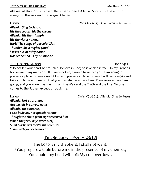#### **THE VERSE OF THE DAY** Matthew 28:20b

Alleluia. Alleluia. Christ is risen! He is risen indeed! Alleluia. Surely I will be with you always, to the very end of the age. Alleluia.

**HYMN** CW21 #606 (1): Alleluia! Sing to Jesus

*Alleluia! Sing to Jesus; His the scepter, his the throne; Alleluia! His the triumph, His the victory alone. Hark! The songs of peaceful Zion Thunder like a mighty flood: "Jesus out of ev'ry nation Has redeemed us by his blood."*

## **THE GOSPEL LESSON** John 14: 1-6

"Do not let your heart be troubled. Believe in God; believe also in me. **<sup>2</sup>** In my Father's house are many mansions. If it were not so, I would have told you. I am going to prepare a place for you. **<sup>3</sup>**And if I go and prepare a place for you, I will come again and take you to be with me, so that you may also be where I am. **<sup>4</sup>** You know where I am going, and you know the way…. I am the Way and the Truth and the Life. No one comes to the Father, except through me.

**HYMN** CW21 #606 (3): Alleluia! Sing to Jesus

*Alleluia! Not as orphans Are we left in sorrow now; Alleluia! He is near us; Faith believes, nor questions how. Though the cloud from sight received him When the forty days were o'er, Shall our hearts forget his promise: "I am with you evermore"?*

# **THE SERMON – PSALM 23:1,5**

The LORD is my shepherd; I shall not want. **<sup>5</sup>**You prepare a table before me in the presence of my enemies; You anoint my head with oil; My cup overflows.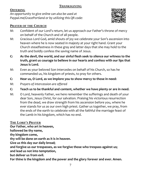#### **THANKSGIVING**

## **OFFERING**

*An opportunity to give online can also be used at Paypal.me/GracePortland or by utilizing this QR code:*



## **PRAYER OF THE CHURCH**

- M: Confident of our Lord's return, let us approach our Father's throne of mercy on behalf of the Church and of all people.
- M: Gracious Lord God, amid shouts of joy we celebrate your Son's ascension into heaven where he is now seated in majesty at your right hand. Grant your Church steadfastness in these gray and latter days that she may hold to the truth and boldly confess the saving name of Jesus.
- **C: As the devil, the world, and our sinful flesh seek to silence our witness to the truth, grant us courage to believe in our hearts and confess with our lips that Jesus is Lord.**
- M: Even as your beloved Son intercedes on behalf of his Church, so has he commanded us, his kingdom of priests, to pray for others.
- **C: Hear us, O Lord, as we implore you to show mercy to those in need:**
- M: *Prayers of intercession are offered*
- **C: Teach us to be thankful and content, whether we have plenty or are in need.**
- M: O Lord, heavenly Father, we here remember the sufferings and death of your dear Son, Jesus Christ, for our salvation. Praising his victorious resurrection from the dead, we draw strength from his ascension before you, where he ever stands for us as our own high priest. Gather us together, we pray, from the ends of the earth to celebrate with all the faithful the marriage feast of the Lamb in his kingdom, which has no end.

## **THE LORD'S PRAYER**

**Our Father, who art in heaven, hallowed be thy name, thy kingdom come, thy will be done on earth as it is in heaven. Give us this day our daily bread; and forgive us our trespasses, as we forgive those who trespass against us; and lead us not into temptation, but deliver us from evil. For thine is the kingdom and the power and the glory forever and ever. Amen.**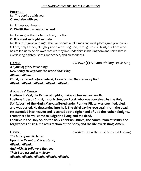#### **THE SACRAMENT OF HOLY COMMUNION**

#### **PREFACE**

M: The Lord be with you.

#### **C: And also with you.**

M: Lift up your hearts.

#### **C: We lift them up unto the Lord.**

M: Let us give thanks to the Lord, our God.

#### **C: It is good and right so to do**

M: It is truly good and right that we should at all times and in all places give you thanks, O Lord, holy Father, almighty and everlasting God, through Jesus Christ, our Lord who has called us to be his own that we may live under him in his kingdom and serve him in everlasting righteousness, innocence, and blessedness.

**HYMN:** CW #472 (1): A Hymn of Glory Let Us Sing

*A hymn of glory let us sing! New songs throughout the world shall ring: Alleluia! Alleluia! Christ, by a road before untrod, Ascends unto the throne of God. Alleluia! Alleluia! Alleluia! Alleluia! Alleluia!* 

#### **APOSTLES' CREED**

**I believe in God, the Father almighty, maker of heaven and earth. I believe in Jesus Christ, his only Son, our Lord, who was conceived by the Holy Spirit, born of the virgin Mary, suffered under Pontius Pilate, was crucified, died, and was buried. He descended into hell. The third day he rose again from the dead. He ascended into heaven and is seated at the right hand of God the Father almighty. From there he will come to judge the living and the dead.**

**I believe in the Holy Spirit, the holy Christian Church, the communion of saints, the forgiveness of sins, the resurrection of the body, and the life everlasting. Amen.**

**HYMN:** CW #472 (2): A Hymn of Glory Let Us Sing

*The holy apostolic band Upon the Mount of Olives stand, Alleluia! Alleluia! And with his followers they see Their Lord ascend in majesty. Alleluia! Alleluia! Alleluia! Alleluia! Alleluia!*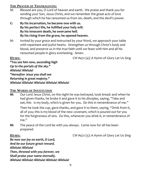#### **THE PRAYER OF THANKSGIVING**

- M: Blessed are you, O Lord of heaven and earth. We praise and thank you for sending your Son, Jesus Christ, and we remember the great acts of love through which he has ransomed us from sin, death, and the devil's power.
- **C: By his incarnation, he became one with us. By his perfect life, he fulfilled your holy will. By his innocent death, he overcame hell. By his rising from the grave, he opened heaven.**
- M: Invited by your grace and instructed by your Word, we approach your table with repentant and joyful hearts. Strengthen us through Christ's body and blood, and preserve us in the true faith until we feast with him and all his ransomed people in glory everlasting. Amen.

**HYMN:** CW #472 (4): A Hymn of Glory Let Us Sing

*"You see him now, ascending high Up to the portals of the sky." Alleluia! Alleluia! "Hereafter Jesus you shall see Returning in great majesty." Alleluia! Alleluia! Alleluia! Alleluia! Alleluia!*

#### **THE WORDS OF INSTITUTION**

**M:** Our Lord Jesus Christ, on the night he was betrayed, took bread: and when he had given thanks, he broke it and gave it to his disciples, saying, "Take and eat; this is my body, which is given for you. Do this in remembrance of me."

Then he took the cup, gave thanks, and gave it to them, saying, "Drink from it, all of you; this is my blood of the new covenant, which is poured out for you for the forgiveness of sins. Do this, whenever you drink it, in remembrance of me."

**M:** The peace of the Lord be with you always. Come now for all has been prepared.

**HYMN:** CW #472 (5): A Hymn of Glory Let Us Sing

*Be now our joy on earth, O Lord, And be our future great reward. Alleluia! Alleluia! Then, throned with you forever, we Shall praise your name eternally. Alleluia! Alleluia! Alleluia! Alleluia! Alleluia!*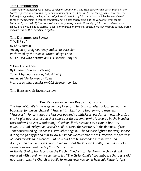#### **THE DISTRIBUTION**

*Thank you for honoring our practice of "close" communion. The Bible teaches that participating in the Lord's Supper is an expression of complete unity of faith (1 Cor. 10:17). We lovingly ask, therefore, that before joining in this, the highest act of fellowship, a unity of faith based on the Bible be established through membership in this congregation or in a sister congregation of the Wisconsin Evangelical Lutheran Synod (WELS). We are most eager for you to join us in the unity of faith and confession we enjoy. If you would like to discuss "close" communion or any other spiritual matter with the pastor, please indicate this on the Friendship Register.*

#### **THE DISTRIBUTION SONGS**

"I Will Rise" *By Chris Tomlin Arranged by Craig Courtney and Lynda Hasseler Performed by the Martin Luther College Choir Music used with permission CCLI License 11209822* 

"Draw Us To Thee" *By Friedrich Funcke 1642-1699 Tune: A hymnodus sacer, Leipzig 1625 Arranged / Performed by Koine Music used with permission CCLI License 11209822* 

#### **THE BLESSING & BENEDICTION**

## **THE RECESSION OF THE PASCHAL CANDLE**

*The Paschal Candle is the large candle placed on a tall brass candlestick located near the baptismal font in our chancel. "Paschal" is taken from a Hebrew word meaning*  "Passover". For centuries the Passover pointed to with Jesus' passion as the Lamb of God *and his glorious resurrection that assures us that everyone who is covered by the blood of the Lamb will be saved, and though death itself will pass over us it cannot harm us. It was on Good Friday that Paschal Candle entered the sanctuary in the darkness of the Tenebrae reminding us that Jesus would rise again. The candle islighted for every service during the 40-day period that follows Easter as we celebrate the resurrection, the greatest of God's miracles and mercies. But now our Lord has ascended into heaven and disappeared from our sight. And so we snuff out the Paschal Candle, and as its smoke ascends we are reminded of Christ's ascension.* 

*At the Festival of the Ascension the Paschal Candle is carried from the chancel and replaced with a plain white candle called "The Christ Candle" to symbolize that Jesus did not remain with his Church in bodily form but returned to his heavenly Father's right*